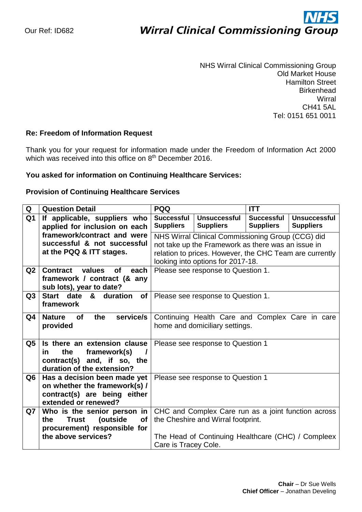# ì

NHS Wirral Clinical Commissioning Group Old Market House Hamilton Street **Birkenhead Wirral** CH41 5AL Tel: 0151 651 0011

## **Re: Freedom of Information Request**

Thank you for your request for information made under the Freedom of Information Act 2000 which was received into this office on 8<sup>th</sup> December 2016.

## **You asked for information on Continuing Healthcare Services:**

#### **Provision of Continuing Healthcare Services**

| Q              | <b>Question Detail</b>                                        | <b>PQQ</b>                                              |                                                     | <b>ITT</b>                            |                                         |
|----------------|---------------------------------------------------------------|---------------------------------------------------------|-----------------------------------------------------|---------------------------------------|-----------------------------------------|
| Q <sub>1</sub> | If applicable, suppliers who<br>applied for inclusion on each | <b>Successful</b><br><b>Suppliers</b>                   | <b>Unsuccessful</b><br><b>Suppliers</b>             | <b>Successful</b><br><b>Suppliers</b> | <b>Unsuccessful</b><br><b>Suppliers</b> |
|                | framework/contract and were                                   | NHS Wirral Clinical Commissioning Group (CCG) did       |                                                     |                                       |                                         |
|                | successful & not successful                                   | not take up the Framework as there was an issue in      |                                                     |                                       |                                         |
|                | at the PQQ & ITT stages.                                      | relation to prices. However, the CHC Team are currently |                                                     |                                       |                                         |
|                |                                                               |                                                         | looking into options for 2017-18.                   |                                       |                                         |
| Q2             | <b>Contract</b><br>of<br>values<br>each                       | Please see response to Question 1.                      |                                                     |                                       |                                         |
|                | framework / contract (& any                                   |                                                         |                                                     |                                       |                                         |
|                | sub lots), year to date?                                      |                                                         |                                                     |                                       |                                         |
| Q3             | Start date<br>&<br>duration<br><b>of</b>                      |                                                         | Please see response to Question 1.                  |                                       |                                         |
|                | framework                                                     |                                                         |                                                     |                                       |                                         |
| Q4             | service/s<br><b>Nature</b><br>the<br><b>of</b>                | Continuing Health Care and Complex Care in care         |                                                     |                                       |                                         |
|                | provided                                                      | home and domiciliary settings.                          |                                                     |                                       |                                         |
|                |                                                               |                                                         |                                                     |                                       |                                         |
| Q5             | Is there an extension clause                                  | Please see response to Question 1                       |                                                     |                                       |                                         |
|                | the<br>framework(s)<br>in.                                    |                                                         |                                                     |                                       |                                         |
|                | contract(s) and, if so, the                                   |                                                         |                                                     |                                       |                                         |
|                | duration of the extension?                                    |                                                         |                                                     |                                       |                                         |
| Q <sub>6</sub> | Has a decision been made yet                                  |                                                         | Please see response to Question 1                   |                                       |                                         |
|                | on whether the framework(s) /                                 |                                                         |                                                     |                                       |                                         |
|                | contract(s) are being either<br>extended or renewed?          |                                                         |                                                     |                                       |                                         |
| Q7             | Who is the senior person in                                   |                                                         | CHC and Complex Care run as a joint function across |                                       |                                         |
|                | <b>Trust</b><br>(outside<br>the<br><b>of</b>                  |                                                         | the Cheshire and Wirral footprint.                  |                                       |                                         |
|                | procurement) responsible for                                  |                                                         |                                                     |                                       |                                         |
|                | the above services?                                           |                                                         | The Head of Continuing Healthcare (CHC) / Compleex  |                                       |                                         |
|                |                                                               | Care is Tracey Cole.                                    |                                                     |                                       |                                         |